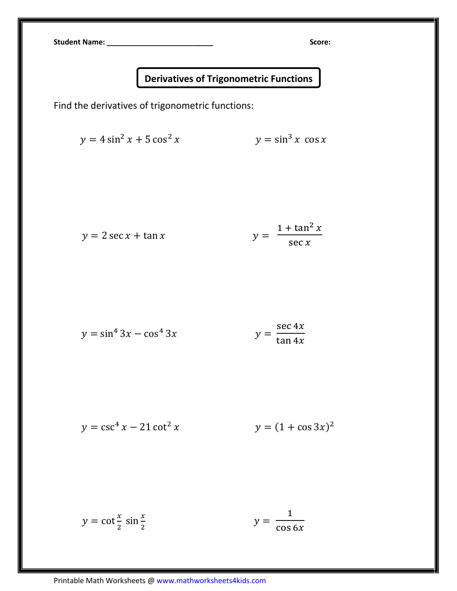Student Name: \_\_\_\_\_\_\_\_\_\_\_\_\_\_\_\_\_\_\_\_\_\_\_\_\_\_ Score:

## Derivatives of Trigonometric Functions

Find the derivatives of trigonometric functions:

$$
y = 4\sin^2 x + 5\cos^2 x \qquad \qquad y = \sin^3 x \cos x
$$

$$
y = 2\sec x + \tan x \qquad \qquad y = \frac{1 + \tan^2 x}{\sec x}
$$

$$
y = \sin^4 3x - \cos^4 3x
$$
 
$$
y = \frac{\sec 4x}{\tan 4x}
$$

$$
y = \csc^4 x - 21 \cot^2 x \qquad \qquad y = (1 + \cos 3x)^2
$$

$$
y = \cot^{\frac{x}{2}} \sin^{\frac{x}{2}} \qquad \qquad y = \frac{1}{\cos 6x}
$$